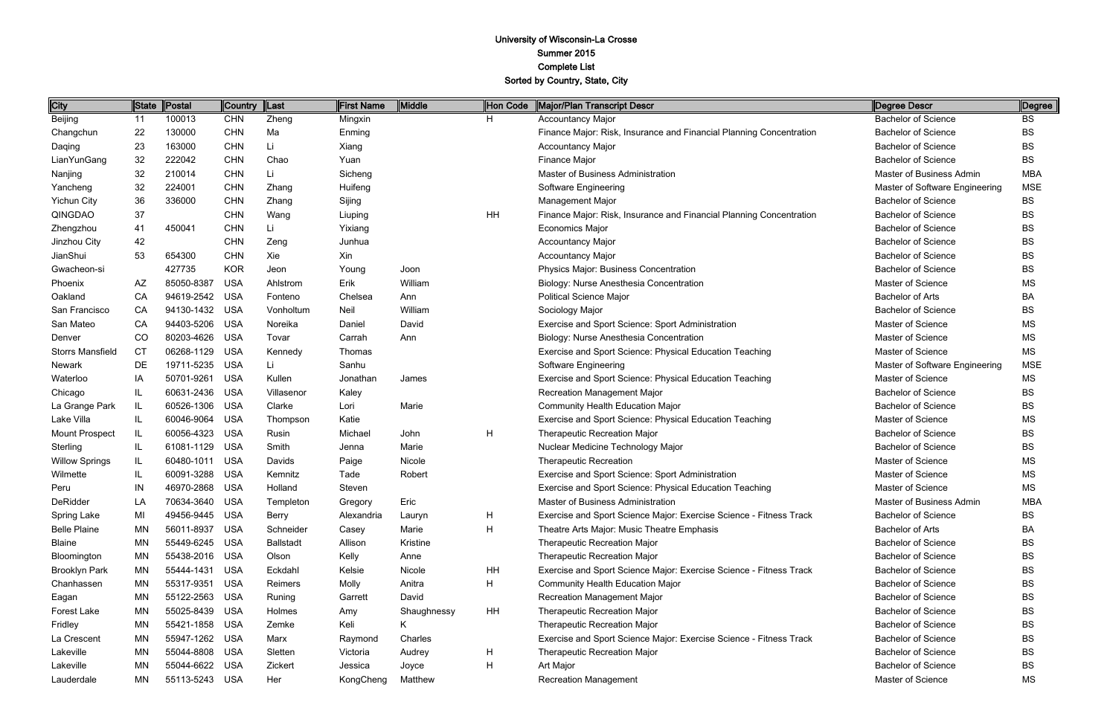| City                    | <b>State</b> | Postal         | <b>Country</b> | Last             | <b>First Name</b> | Middle      | Hon Code  | Major/Plan Transcript Descr                                         | Degree Descr                   | Degree     |
|-------------------------|--------------|----------------|----------------|------------------|-------------------|-------------|-----------|---------------------------------------------------------------------|--------------------------------|------------|
| Beijing                 | 11           | 100013         | <b>CHN</b>     | Zheng            | Mingxin           |             | H.        | <b>Accountancy Major</b>                                            | <b>Bachelor of Science</b>     | <b>BS</b>  |
| Changchun               | 22           | 130000         | <b>CHN</b>     | Ma               | Enming            |             |           | Finance Major: Risk, Insurance and Financial Planning Concentration | <b>Bachelor of Science</b>     | <b>BS</b>  |
| Daqing                  | 23           | 163000         | <b>CHN</b>     | Li               | Xiang             |             |           | <b>Accountancy Major</b>                                            | <b>Bachelor of Science</b>     | <b>BS</b>  |
| LianYunGang             | 32           | 222042         | <b>CHN</b>     | Chao             | Yuan              |             |           | Finance Major                                                       | <b>Bachelor of Science</b>     | <b>BS</b>  |
| Nanjing                 | 32           | 210014         | <b>CHN</b>     | Τi.              | Sicheng           |             |           | Master of Business Administration                                   | Master of Business Admin       | <b>MBA</b> |
| Yancheng                | 32           | 224001         | <b>CHN</b>     | Zhang            | Huifeng           |             |           | Software Engineering                                                | Master of Software Engineering | <b>MSE</b> |
| <b>Yichun City</b>      | 36           | 336000         | <b>CHN</b>     | Zhang            | Sijing            |             |           | <b>Management Major</b>                                             | <b>Bachelor of Science</b>     | <b>BS</b>  |
| QINGDAO                 | 37           |                | <b>CHN</b>     | Wang             | Liuping           |             | <b>HH</b> | Finance Major: Risk, Insurance and Financial Planning Concentration | <b>Bachelor of Science</b>     | <b>BS</b>  |
| Zhengzhou               | 41           | 450041         | <b>CHN</b>     | Li               | Yixiang           |             |           | Economics Major                                                     | <b>Bachelor of Science</b>     | BS         |
| Jinzhou City            | 42           |                | <b>CHN</b>     | Zeng             | Junhua            |             |           | <b>Accountancy Major</b>                                            | <b>Bachelor of Science</b>     | <b>BS</b>  |
| JianShui                | 53           | 654300         | <b>CHN</b>     | Xie              | Xin               |             |           | <b>Accountancy Major</b>                                            | <b>Bachelor of Science</b>     | <b>BS</b>  |
| Gwacheon-si             |              | 427735         | <b>KOR</b>     | Jeon             | Young             | Joon        |           | Physics Major: Business Concentration                               | <b>Bachelor of Science</b>     | <b>BS</b>  |
| Phoenix                 | ΑZ           | 85050-8387     | <b>USA</b>     | Ahlstrom         | Erik              | William     |           | Biology: Nurse Anesthesia Concentration                             | Master of Science              | <b>MS</b>  |
| Oakland                 | CA           | 94619-2542     | <b>USA</b>     | Fonteno          | Chelsea           | Ann         |           | <b>Political Science Major</b>                                      | <b>Bachelor of Arts</b>        | <b>BA</b>  |
| San Francisco           | CA           | 94130-1432     | <b>USA</b>     | Vonholtum        | Neil              | William     |           | Sociology Major                                                     | <b>Bachelor of Science</b>     | <b>BS</b>  |
| San Mateo               | CA           | 94403-5206     | <b>USA</b>     | Noreika          | Daniel            | David       |           | Exercise and Sport Science: Sport Administration                    | Master of Science              | ΜS         |
| Denver                  | CO           | 80203-4626     | <b>USA</b>     | Tovar            | Carrah            | Ann         |           | Biology: Nurse Anesthesia Concentration                             | <b>Master of Science</b>       | MS         |
| <b>Storrs Mansfield</b> | <b>CT</b>    | 06268-1129     | <b>USA</b>     | Kennedy          | Thomas            |             |           | Exercise and Sport Science: Physical Education Teaching             | <b>Master of Science</b>       | <b>MS</b>  |
| Newark                  | DE           | 19711-5235     | <b>USA</b>     | Li               | Sanhu             |             |           | <b>Software Engineering</b>                                         | Master of Software Engineering | <b>MSE</b> |
| Waterloo                | IA           | 50701-9261     | <b>USA</b>     | Kullen           | Jonathan          | James       |           | Exercise and Sport Science: Physical Education Teaching             | Master of Science              | MS         |
| Chicago                 | IL           | 60631-2436     | <b>USA</b>     | Villasenor       | Kaley             |             |           | Recreation Management Major                                         | <b>Bachelor of Science</b>     | BS         |
| La Grange Park          | IL           | 60526-1306     | <b>USA</b>     | Clarke           | Lori              | Marie       |           | Community Health Education Major                                    | <b>Bachelor of Science</b>     | <b>BS</b>  |
| Lake Villa              | IL           | 60046-9064     | <b>USA</b>     | Thompson         | Katie             |             |           | Exercise and Sport Science: Physical Education Teaching             | Master of Science              | ΜS         |
| Mount Prospect          | IL           | 60056-4323     | <b>USA</b>     | Rusin            | Michael           | John        | H         | Therapeutic Recreation Major                                        | <b>Bachelor of Science</b>     | <b>BS</b>  |
| Sterling                | IL           | 61081-1129     | <b>USA</b>     | Smith            | Jenna             | Marie       |           | Nuclear Medicine Technology Major                                   | <b>Bachelor of Science</b>     | <b>BS</b>  |
| <b>Willow Springs</b>   | IL           | 60480-1011     | <b>USA</b>     | Davids           | Paige             | Nicole      |           | <b>Therapeutic Recreation</b>                                       | <b>Master of Science</b>       | MS         |
| Wilmette                | IL           | 60091-3288     | <b>USA</b>     | Kemnitz          | Tade              | Robert      |           | Exercise and Sport Science: Sport Administration                    | Master of Science              | ΜS         |
| Peru                    | IN           | 46970-2868     | <b>USA</b>     | Holland          | Steven            |             |           | Exercise and Sport Science: Physical Education Teaching             | Master of Science              | <b>MS</b>  |
| DeRidder                | LA           | 70634-3640 USA |                | Templeton        | Gregory           | Eric        |           | Master of Business Administration                                   | Master of Business Admin       | <b>MBA</b> |
| Spring Lake             | MI           | 49456-9445     | <b>USA</b>     | <b>Berry</b>     | Alexandria        | Lauryn      | H         | Exercise and Sport Science Major: Exercise Science - Fitness Track  | <b>Bachelor of Science</b>     | <b>BS</b>  |
| <b>Belle Plaine</b>     | <b>MN</b>    | 56011-8937     | <b>USA</b>     | Schneider        | Casey             | Marie       | H         | Theatre Arts Major: Music Theatre Emphasis                          | <b>Bachelor of Arts</b>        | BA         |
| <b>Blaine</b>           | <b>MN</b>    | 55449-6245     | <b>USA</b>     | <b>Ballstadt</b> | Allison           | Kristine    |           | <b>Therapeutic Recreation Major</b>                                 | <b>Bachelor of Science</b>     | BS         |
| Bloomington             | MN           | 55438-2016     | <b>USA</b>     | Olson            | Kelly             | Anne        |           | <b>Therapeutic Recreation Major</b>                                 | <b>Bachelor of Science</b>     | BS         |
| <b>Brooklyn Park</b>    | ΜN           | 55444-1431     | <b>USA</b>     | Eckdahl          | Kelsie            | Nicole      | HH        | Exercise and Sport Science Major: Exercise Science - Fitness Track  | <b>Bachelor of Science</b>     | <b>BS</b>  |
| Chanhassen              | <b>MN</b>    | 55317-9351     | <b>USA</b>     | Reimers          | Molly             | Anitra      | H         | <b>Community Health Education Major</b>                             | <b>Bachelor of Science</b>     | BS         |
| Eagan                   | <b>MN</b>    | 55122-2563     | USA            | Runing           | Garrett           | David       |           | <b>Recreation Management Major</b>                                  | <b>Bachelor of Science</b>     | BS         |
| Forest Lake             | ΜN           | 55025-8439     | <b>USA</b>     | Holmes           | Amy               | Shaughnessy | <b>HH</b> | Therapeutic Recreation Major                                        | <b>Bachelor of Science</b>     | <b>BS</b>  |
| Fridley                 | <b>MN</b>    | 55421-1858     | <b>USA</b>     | Zemke            | Keli              | K           |           | Therapeutic Recreation Major                                        | <b>Bachelor of Science</b>     | BS         |
| La Crescent             | <b>MN</b>    | 55947-1262     | <b>USA</b>     | Marx             | Raymond           | Charles     |           | Exercise and Sport Science Major: Exercise Science - Fitness Track  | <b>Bachelor of Science</b>     | <b>BS</b>  |
| Lakeville               | MN           | 55044-8808     | <b>USA</b>     | Sletten          | Victoria          | Audrey      | H         | <b>Therapeutic Recreation Major</b>                                 | <b>Bachelor of Science</b>     | BS         |
| Lakeville               | <b>MN</b>    | 55044-6622     | <b>USA</b>     | Zickert          | Jessica           | Joyce       | Н         | Art Major                                                           | <b>Bachelor of Science</b>     | <b>BS</b>  |
| Lauderdale              | MN           | 55113-5243     | USA            | Her              | KongCheng         | Matthew     |           | <b>Recreation Management</b>                                        | Master of Science              | ΜS         |

| Degree Descr                   | Degree     |
|--------------------------------|------------|
| <b>Bachelor of Science</b>     | BS         |
| <b>Bachelor of Science</b>     | BS         |
| Bachelor of Science            | BS         |
| <b>Bachelor of Science</b>     | BS.        |
| Master of Business Admin       | MBA        |
| Master of Software Engineering | <b>MSE</b> |
| <b>Bachelor of Science</b>     | BS         |
| Bachelor of Science            | BS         |
| <b>Bachelor of Science</b>     | BS         |
| Bachelor of Science            | BS         |
| Bachelor of Science            | BS         |
| <b>Bachelor of Science</b>     | BS         |
| <b>Master of Science</b>       | ΜS         |
| <b>Bachelor of Arts</b>        | BA         |
| Bachelor of Science            | BS         |
| Master of Science              | ΜS         |
| <b>Master of Science</b>       | MS         |
| <b>Master of Science</b>       | ΜS         |
| Master of Software Engineering | <b>MSE</b> |
| Master of Science              | ΜS         |
| <b>Bachelor of Science</b>     | BS         |
| <b>Bachelor of Science</b>     | BS         |
| <b>Master of Science</b>       | MS         |
| <b>Bachelor of Science</b>     | BS         |
| <b>Bachelor of Science</b>     | BS         |
| <b>Master of Science</b>       | ΜS         |
| <b>Master of Science</b>       | ΜS         |
| <b>Master of Science</b>       | ΜS         |
| Master of Business Admin       | MBA        |
| <b>Bachelor of Science</b>     | BS         |
| <b>Bachelor of Arts</b>        | BА         |
| Bachelor of Science            | BS         |
| <b>Bachelor of Science</b>     | BS         |
| Bachelor of Science            | BS         |
| <b>Bachelor of Science</b>     | BS         |
| Bachelor of Science            | BS         |
| Bachelor of Science            | BS         |
| Bachelor of Science            | BS         |
| <b>Bachelor of Science</b>     | BS         |
| <b>Bachelor of Science</b>     | BS         |
| <b>Bachelor of Science</b>     | BS         |
| <b>Master of Science</b>       | MS         |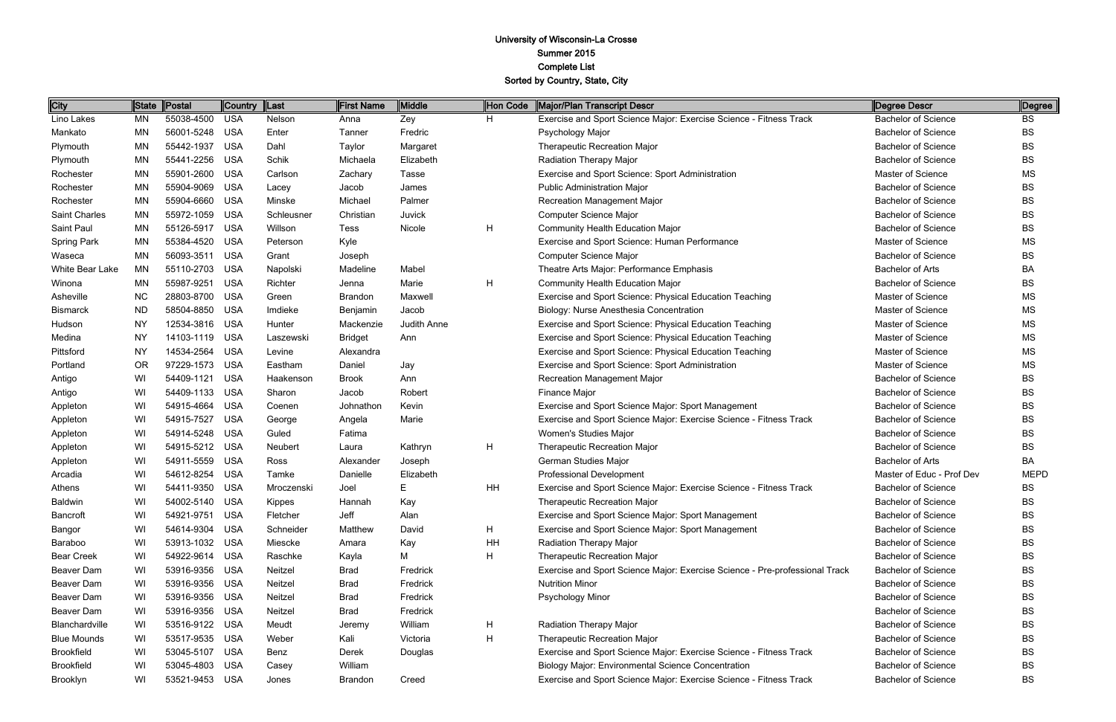| City                 | State     | Postal     | Country    | Last       | First Name     | Middle      | Hon Code  | Major/Plan Transcript Descr                                                 | Degree Descr               | Degree      |
|----------------------|-----------|------------|------------|------------|----------------|-------------|-----------|-----------------------------------------------------------------------------|----------------------------|-------------|
| Lino Lakes           | ΜN        | 55038-4500 | <b>USA</b> | Nelson     | Anna           | Zey         | H.        | Exercise and Sport Science Major: Exercise Science - Fitness Track          | <b>Bachelor of Science</b> | <b>BS</b>   |
| Mankato              | MN        | 56001-5248 | <b>USA</b> | Enter      | Tanner         | Fredric     |           | Psychology Major                                                            | <b>Bachelor of Science</b> | <b>BS</b>   |
| Plymouth             | <b>MN</b> | 55442-1937 | <b>USA</b> | Dahl       | Taylor         | Margaret    |           | <b>Therapeutic Recreation Major</b>                                         | <b>Bachelor of Science</b> | ВS          |
| Plymouth             | <b>MN</b> | 55441-2256 | <b>USA</b> | Schik      | Michaela       | Elizabeth   |           | Radiation Therapy Major                                                     | <b>Bachelor of Science</b> | ВS          |
| Rochester            | <b>MN</b> | 55901-2600 | <b>USA</b> | Carlson    | Zachary        | Tasse       |           | Exercise and Sport Science: Sport Administration                            | Master of Science          | <b>MS</b>   |
| Rochester            | <b>MN</b> | 55904-9069 | <b>USA</b> | Lacey      | Jacob          | James       |           | <b>Public Administration Major</b>                                          | <b>Bachelor of Science</b> | ВS          |
| Rochester            | <b>MN</b> | 55904-6660 | <b>USA</b> | Minske     | Michael        | Palmer      |           | <b>Recreation Management Major</b>                                          | <b>Bachelor of Science</b> | ВS          |
| <b>Saint Charles</b> | <b>MN</b> | 55972-1059 | <b>USA</b> | Schleusner | Christian      | Juvick      |           | Computer Science Major                                                      | <b>Bachelor of Science</b> | <b>BS</b>   |
| Saint Paul           | <b>MN</b> | 55126-5917 | <b>USA</b> | Willson    | <b>Tess</b>    | Nicole      | H         | <b>Community Health Education Major</b>                                     | <b>Bachelor of Science</b> | ВS          |
| <b>Spring Park</b>   | MN        | 55384-4520 | <b>USA</b> | Peterson   | Kyle           |             |           | Exercise and Sport Science: Human Performance                               | Master of Science          | <b>MS</b>   |
| Waseca               | <b>MN</b> | 56093-3511 | <b>USA</b> | Grant      | Joseph         |             |           | Computer Science Major                                                      | <b>Bachelor of Science</b> | ВS          |
| White Bear Lake      | MN        | 55110-2703 | <b>USA</b> | Napolski   | Madeline       | Mabel       |           | Theatre Arts Major: Performance Emphasis                                    | <b>Bachelor of Arts</b>    | BA          |
| Winona               | <b>MN</b> | 55987-9251 | <b>USA</b> | Richter    | Jenna          | Marie       | H         | <b>Community Health Education Major</b>                                     | <b>Bachelor of Science</b> | ВS          |
| Asheville            | <b>NC</b> | 28803-8700 | <b>USA</b> | Green      | <b>Brandon</b> | Maxwell     |           | Exercise and Sport Science: Physical Education Teaching                     | Master of Science          | <b>MS</b>   |
| <b>Bismarck</b>      | <b>ND</b> | 58504-8850 | <b>USA</b> | Imdieke    | Benjamin       | Jacob       |           | Biology: Nurse Anesthesia Concentration                                     | Master of Science          | <b>MS</b>   |
| Hudson               | <b>NY</b> | 12534-3816 | <b>USA</b> | Hunter     | Mackenzie      | Judith Anne |           | Exercise and Sport Science: Physical Education Teaching                     | Master of Science          | <b>MS</b>   |
| Medina               | <b>NY</b> | 14103-1119 | <b>USA</b> | Laszewski  | <b>Bridget</b> | Ann         |           | Exercise and Sport Science: Physical Education Teaching                     | Master of Science          | <b>MS</b>   |
| Pittsford            | <b>NY</b> | 14534-2564 | <b>USA</b> | Levine     | Alexandra      |             |           | Exercise and Sport Science: Physical Education Teaching                     | Master of Science          | <b>MS</b>   |
| Portland             | <b>OR</b> | 97229-1573 | <b>USA</b> | Eastham    | Daniel         | Jay         |           | Exercise and Sport Science: Sport Administration                            | Master of Science          | MS          |
| Antigo               | WI        | 54409-1121 | <b>USA</b> | Haakenson  | <b>Brook</b>   | Ann         |           | <b>Recreation Management Major</b>                                          | <b>Bachelor of Science</b> | ВS          |
| Antigo               | WI        | 54409-1133 | <b>USA</b> | Sharon     | Jacob          | Robert      |           | <b>Finance Major</b>                                                        | <b>Bachelor of Science</b> | ВS          |
| Appleton             | WI        | 54915-4664 | <b>USA</b> | Coenen     | Johnathon      | Kevin       |           | Exercise and Sport Science Major: Sport Management                          | <b>Bachelor of Science</b> | ВS          |
| Appleton             | WI        | 54915-7527 | <b>USA</b> | George     | Angela         | Marie       |           | Exercise and Sport Science Major: Exercise Science - Fitness Track          | <b>Bachelor of Science</b> | ВS          |
| Appleton             | WI        | 54914-5248 | <b>USA</b> | Guled      | Fatima         |             |           | Women's Studies Major                                                       | <b>Bachelor of Science</b> | ВS          |
| Appleton             | WI        | 54915-5212 | <b>USA</b> | Neubert    | Laura          | Kathryn     | H         | <b>Therapeutic Recreation Major</b>                                         | <b>Bachelor of Science</b> | ВS          |
| Appleton             | WI        | 54911-5559 | <b>USA</b> | Ross       | Alexander      | Joseph      |           | <b>German Studies Major</b>                                                 | <b>Bachelor of Arts</b>    | BA          |
| Arcadia              | WI        | 54612-8254 | <b>USA</b> | Tamke      | Danielle       | Elizabeth   |           | <b>Professional Development</b>                                             | Master of Educ - Prof Dev  | <b>MEPD</b> |
| Athens               | WI        | 54411-9350 | <b>USA</b> | Mroczenski | Joel           | E           | <b>HH</b> | Exercise and Sport Science Major: Exercise Science - Fitness Track          | <b>Bachelor of Science</b> | ВS          |
| <b>Baldwin</b>       | WI        | 54002-5140 | <b>USA</b> | Kippes     | Hannah         | Kay         |           | Therapeutic Recreation Major                                                | <b>Bachelor of Science</b> | BS          |
| <b>Bancroft</b>      | WI        | 54921-9751 | USA        | Fletcher   | Jeff           | Alan        |           | Exercise and Sport Science Major: Sport Management                          | <b>Bachelor of Science</b> | BS          |
| Bangor               | WI        | 54614-9304 | USA        | Schneider  | Matthew        | David       | H         | Exercise and Sport Science Major: Sport Management                          | <b>Bachelor of Science</b> | BS          |
| Baraboo              | WI        | 53913-1032 | USA        | Miescke    | Amara          | Kay         | HH        | Radiation Therapy Major                                                     | <b>Bachelor of Science</b> | BS          |
| <b>Bear Creek</b>    | WI        | 54922-9614 | <b>USA</b> | Raschke    | Kayla          | М           | н         | Therapeutic Recreation Major                                                | <b>Bachelor of Science</b> | BS          |
| Beaver Dam           | WI        | 53916-9356 | <b>USA</b> | Neitzel    | Brad           | Fredrick    |           | Exercise and Sport Science Major: Exercise Science - Pre-professional Track | <b>Bachelor of Science</b> | BS          |
| Beaver Dam           | WI        | 53916-9356 | <b>USA</b> | Neitzel    | Brad           | Fredrick    |           | <b>Nutrition Minor</b>                                                      | <b>Bachelor of Science</b> | BS          |
| Beaver Dam           | WI        | 53916-9356 | <b>USA</b> | Neitzel    | Brad           | Fredrick    |           | Psychology Minor                                                            | <b>Bachelor of Science</b> | BS          |
| Beaver Dam           | WI        | 53916-9356 | <b>USA</b> | Neitzel    | Brad           | Fredrick    |           |                                                                             | <b>Bachelor of Science</b> | BS          |
| Blanchardville       | WI        | 53516-9122 | <b>USA</b> | Meudt      | Jeremy         | William     | Н         | Radiation Therapy Major                                                     | <b>Bachelor of Science</b> | BS          |
| <b>Blue Mounds</b>   | WI        | 53517-9535 | <b>USA</b> | Weber      | Kali           | Victoria    | Н         | <b>Therapeutic Recreation Major</b>                                         | <b>Bachelor of Science</b> | BS          |
| <b>Brookfield</b>    | WI        | 53045-5107 | <b>USA</b> | Benz       | Derek          | Douglas     |           | Exercise and Sport Science Major: Exercise Science - Fitness Track          | <b>Bachelor of Science</b> | BS          |
| <b>Brookfield</b>    | WI        | 53045-4803 | <b>USA</b> | Casey      | William        |             |           | <b>Biology Major: Environmental Science Concentration</b>                   | <b>Bachelor of Science</b> | BS          |
| Brooklyn             | WI        | 53521-9453 | USA        | Jones      | Brandon        | Creed       |           | Exercise and Sport Science Major: Exercise Science - Fitness Track          | <b>Bachelor of Science</b> | BS          |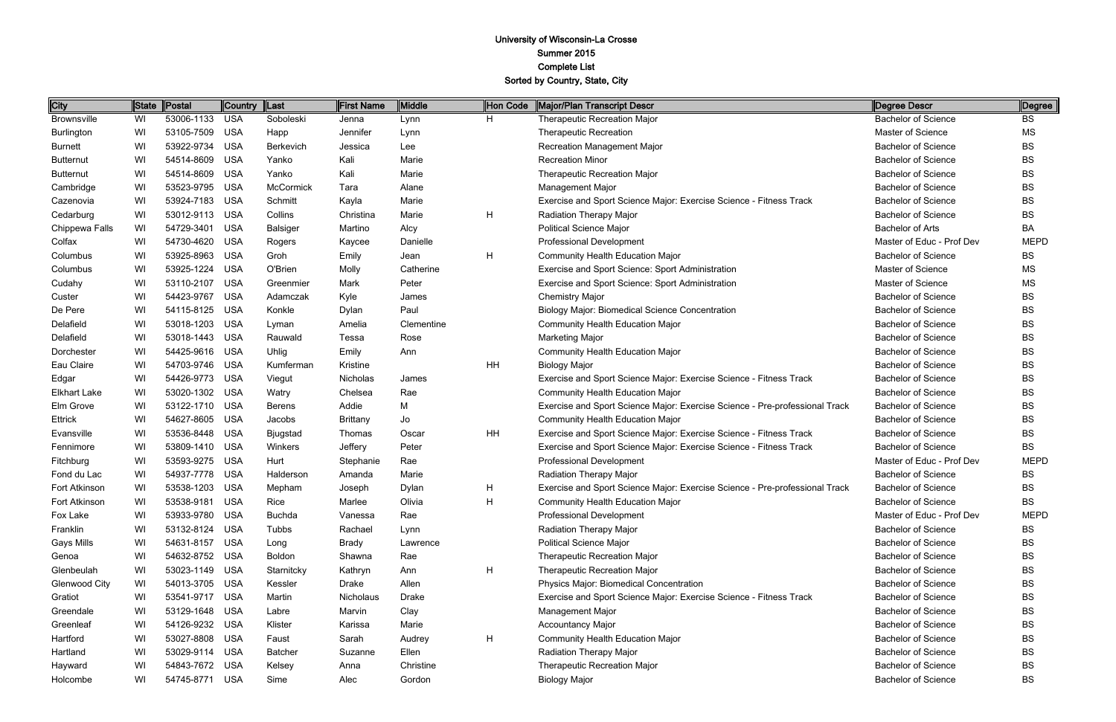| <b>City</b>         | State | Postal         | Country    | ∥Last           | First Name      | <b>Middle</b> | Hon Code | Major/Plan Transcript Descr                                                 | Degree Descr               | Degree      |
|---------------------|-------|----------------|------------|-----------------|-----------------|---------------|----------|-----------------------------------------------------------------------------|----------------------------|-------------|
| <b>Brownsville</b>  | WI    | 53006-1133     | <b>USA</b> | Soboleski       | Jenna           | Lynn          | H.       | <b>Therapeutic Recreation Major</b>                                         | <b>Bachelor of Science</b> | <b>BS</b>   |
| Burlington          | WI    | 53105-7509     | <b>USA</b> | Happ            | Jennifer        | Lynn          |          | <b>Therapeutic Recreation</b>                                               | Master of Science          | <b>MS</b>   |
| <b>Burnett</b>      | WI    | 53922-9734     | <b>USA</b> | Berkevich       | Jessica         | Lee           |          | Recreation Management Major                                                 | <b>Bachelor of Science</b> | BS          |
| <b>Butternut</b>    | WI    | 54514-8609     | <b>USA</b> | Yanko           | Kali            | Marie         |          | <b>Recreation Minor</b>                                                     | <b>Bachelor of Science</b> | BS          |
| <b>Butternut</b>    | WI    | 54514-8609     | <b>USA</b> | Yanko           | Kali            | Marie         |          | <b>Therapeutic Recreation Major</b>                                         | <b>Bachelor of Science</b> | BS          |
| Cambridge           | WI    | 53523-9795     | <b>USA</b> | McCormick       | Tara            | Alane         |          | <b>Management Major</b>                                                     | <b>Bachelor of Science</b> | <b>BS</b>   |
| Cazenovia           | WI    | 53924-7183     | <b>USA</b> | Schmitt         | Kayla           | Marie         |          | Exercise and Sport Science Major: Exercise Science - Fitness Track          | <b>Bachelor of Science</b> | <b>BS</b>   |
| Cedarburg           | WI    | 53012-9113     | <b>USA</b> | Collins         | Christina       | Marie         | H        | Radiation Therapy Major                                                     | <b>Bachelor of Science</b> | BS          |
| Chippewa Falls      | WI    | 54729-3401     | <b>USA</b> | <b>Balsiger</b> | Martino         | Alcy          |          | <b>Political Science Major</b>                                              | <b>Bachelor of Arts</b>    | ВA          |
| Colfax              | WI    | 54730-4620     | <b>USA</b> | Rogers          | Kaycee          | Danielle      |          | <b>Professional Development</b>                                             | Master of Educ - Prof Dev  | <b>MEPD</b> |
| Columbus            | WI    | 53925-8963     | <b>USA</b> | Groh            | Emily           | Jean          | H        | <b>Community Health Education Major</b>                                     | <b>Bachelor of Science</b> | BS          |
| Columbus            | WI    | 53925-1224     | <b>USA</b> | O'Brien         | Molly           | Catherine     |          | Exercise and Sport Science: Sport Administration                            | Master of Science          | MS          |
| Cudahy              | WI    | 53110-2107     | <b>USA</b> | Greenmier       | Mark            | Peter         |          | Exercise and Sport Science: Sport Administration                            | Master of Science          | <b>MS</b>   |
| Custer              | WI    | 54423-9767     | <b>USA</b> | Adamczak        | Kyle            | James         |          | <b>Chemistry Major</b>                                                      | <b>Bachelor of Science</b> | BS          |
| De Pere             | WI    | 54115-8125     | <b>USA</b> | Konkle          | Dylan           | Paul          |          | <b>Biology Major: Biomedical Science Concentration</b>                      | <b>Bachelor of Science</b> | BS          |
| Delafield           | WI    | 53018-1203     | <b>USA</b> | Lyman           | Amelia          | Clementine    |          | <b>Community Health Education Major</b>                                     | <b>Bachelor of Science</b> | BS          |
| Delafield           | WI    | 53018-1443     | <b>USA</b> | Rauwald         | Tessa           | Rose          |          | <b>Marketing Major</b>                                                      | <b>Bachelor of Science</b> | BS          |
| Dorchester          | WI    | 54425-9616     | <b>USA</b> | Uhlig           | Emily           | Ann           |          | <b>Community Health Education Major</b>                                     | <b>Bachelor of Science</b> | BS          |
| Eau Claire          | WI    | 54703-9746     | <b>USA</b> | Kumferman       | Kristine        |               | HH       | <b>Biology Major</b>                                                        | <b>Bachelor of Science</b> | BS          |
| Edgar               | WI    | 54426-9773     | <b>USA</b> | Viegut          | Nicholas        | James         |          | Exercise and Sport Science Major: Exercise Science - Fitness Track          | <b>Bachelor of Science</b> | <b>BS</b>   |
| <b>Elkhart Lake</b> | WI    | 53020-1302     | <b>USA</b> | Watry           | Chelsea         | Rae           |          | <b>Community Health Education Major</b>                                     | <b>Bachelor of Science</b> | BS          |
| Elm Grove           | WI    | 53122-1710     | <b>USA</b> | <b>Berens</b>   | Addie           | M             |          | Exercise and Sport Science Major: Exercise Science - Pre-professional Track | <b>Bachelor of Science</b> | BS          |
| Ettrick             | WI    | 54627-8605     | <b>USA</b> | Jacobs          | <b>Brittany</b> | Jo            |          | <b>Community Health Education Major</b>                                     | <b>Bachelor of Science</b> | BS          |
| Evansville          | WI    | 53536-8448     | <b>USA</b> | Bjugstad        | Thomas          | Oscar         | HH       | Exercise and Sport Science Major: Exercise Science - Fitness Track          | <b>Bachelor of Science</b> | <b>BS</b>   |
| Fennimore           | WI    | 53809-1410     | <b>USA</b> | Winkers         | Jeffery         | Peter         |          | Exercise and Sport Science Major: Exercise Science - Fitness Track          | <b>Bachelor of Science</b> | BS          |
| Fitchburg           | WI    | 53593-9275     | <b>USA</b> | Hurt            | Stephanie       | Rae           |          | Professional Development                                                    | Master of Educ - Prof Dev  | <b>MEPD</b> |
| Fond du Lac         | WI    | 54937-7778     | <b>USA</b> | Halderson       | Amanda          | Marie         |          | Radiation Therapy Major                                                     | <b>Bachelor of Science</b> | BS          |
| Fort Atkinson       | WI    | 53538-1203     | <b>USA</b> | Mepham          | Joseph          | Dylan         | Н        | Exercise and Sport Science Major: Exercise Science - Pre-professional Track | <b>Bachelor of Science</b> | BS          |
| Fort Atkinson       | WI    | 53538-9181 USA |            | Rice            | Marlee          | Olivia        | н        | <b>Community Health Education Major</b>                                     | Bachelor of Science        | BS          |
| Fox Lake            | WI    | 53933-9780     | <b>USA</b> | <b>Buchda</b>   | Vanessa         | Rae           |          | <b>Professional Development</b>                                             | Master of Educ - Prof Dev  | <b>MEPD</b> |
| Franklin            | WI    | 53132-8124     | <b>USA</b> | Tubbs           | Rachael         | Lynn          |          | Radiation Therapy Major                                                     | <b>Bachelor of Science</b> | BS          |
| Gays Mills          | WI    | 54631-8157     | <b>USA</b> | Long            | Brady           | Lawrence      |          | <b>Political Science Major</b>                                              | <b>Bachelor of Science</b> | BS          |
| Genoa               | WI    | 54632-8752     | <b>USA</b> | <b>Boldon</b>   | Shawna          | Rae           |          | Therapeutic Recreation Major                                                | <b>Bachelor of Science</b> | BS          |
| Glenbeulah          | WI    | 53023-1149     | <b>USA</b> | Starnitcky      | Kathryn         | Ann           | H        | Therapeutic Recreation Major                                                | <b>Bachelor of Science</b> | BS          |
| Glenwood City       | WI    | 54013-3705     | <b>USA</b> | Kessler         | Drake           | Allen         |          | Physics Major: Biomedical Concentration                                     | <b>Bachelor of Science</b> | BS          |
| Gratiot             | WI    | 53541-9717     | <b>USA</b> | Martin          | Nicholaus       | Drake         |          | Exercise and Sport Science Major: Exercise Science - Fitness Track          | <b>Bachelor of Science</b> | BS          |
| Greendale           | WI    | 53129-1648     | <b>USA</b> | Labre           | Marvin          | Clay          |          | <b>Management Major</b>                                                     | <b>Bachelor of Science</b> | BS          |
| Greenleaf           | WI    | 54126-9232     | <b>USA</b> | Klister         | Karissa         | Marie         |          | <b>Accountancy Major</b>                                                    | <b>Bachelor of Science</b> | BS          |
| Hartford            | WI    | 53027-8808     | <b>USA</b> | Faust           | Sarah           | Audrey        | H        | <b>Community Health Education Major</b>                                     | <b>Bachelor of Science</b> | BS          |
| Hartland            | WI    | 53029-9114     | <b>USA</b> | <b>Batcher</b>  | Suzanne         | Ellen         |          | Radiation Therapy Major                                                     | <b>Bachelor of Science</b> | BS          |
| Hayward             | WI    | 54843-7672     | <b>USA</b> | Kelsey          | Anna            | Christine     |          | Therapeutic Recreation Major                                                | <b>Bachelor of Science</b> | BS          |
| Holcombe            | WI    | 54745-8771     | USA        | Sime            | Alec            | Gordon        |          | <b>Biology Major</b>                                                        | <b>Bachelor of Science</b> | BS          |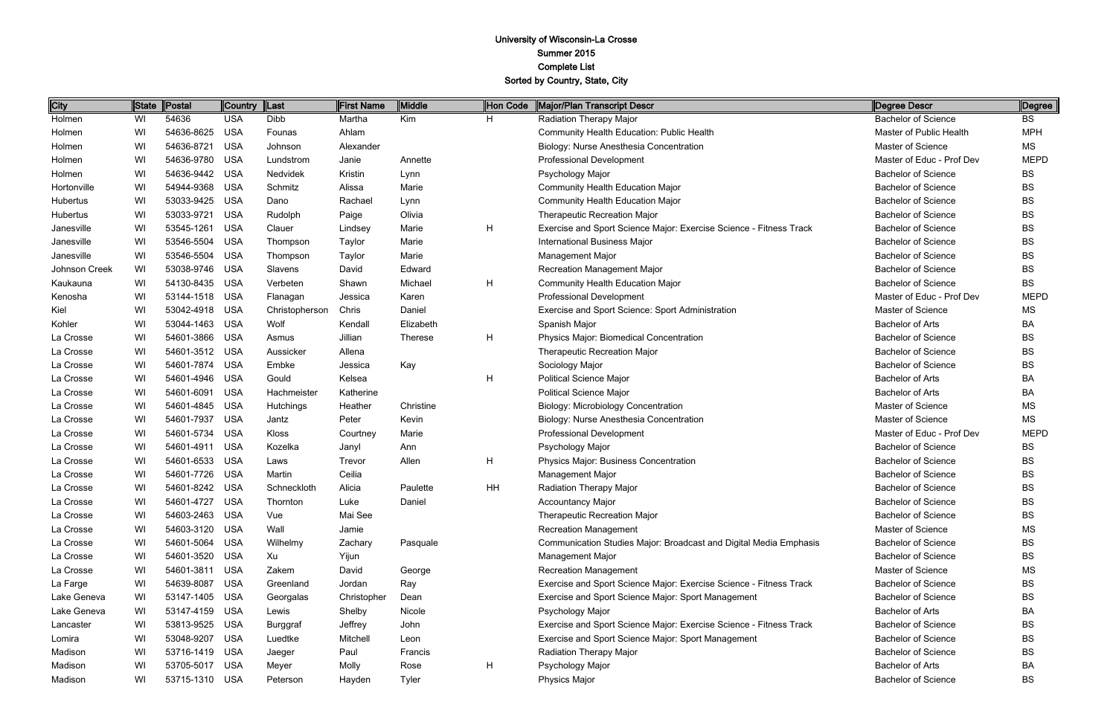| City          | State | Postal         | <b>Country</b> | Last           | First Name  | Middle         | Hon Code | Major/Plan Transcript Descr                                        | Degree Descr               | Degree      |
|---------------|-------|----------------|----------------|----------------|-------------|----------------|----------|--------------------------------------------------------------------|----------------------------|-------------|
| Holmen        | WI    | 54636          | <b>USA</b>     | Dibb           | Martha      | Kim            | H.       | Radiation Therapy Major                                            | <b>Bachelor of Science</b> | <b>BS</b>   |
| Holmen        | WI    | 54636-8625     | <b>USA</b>     | Founas         | Ahlam       |                |          | <b>Community Health Education: Public Health</b>                   | Master of Public Health    | <b>MPH</b>  |
| Holmen        | WI    | 54636-8721     | <b>USA</b>     | Johnson        | Alexander   |                |          | Biology: Nurse Anesthesia Concentration                            | <b>Master of Science</b>   | MS          |
| Holmen        | WI    | 54636-9780     | <b>USA</b>     | Lundstrom      | Janie       | Annette        |          | <b>Professional Development</b>                                    | Master of Educ - Prof Dev  | <b>MEPD</b> |
| Holmen        | WI    | 54636-9442     | <b>USA</b>     | Nedvidek       | Kristin     | Lynn           |          | Psychology Major                                                   | <b>Bachelor of Science</b> | <b>BS</b>   |
| Hortonville   | WI    | 54944-9368     | <b>USA</b>     | Schmitz        | Alissa      | Marie          |          | <b>Community Health Education Major</b>                            | <b>Bachelor of Science</b> | <b>BS</b>   |
| Hubertus      | WI    | 53033-9425     | <b>USA</b>     | Dano           | Rachael     | Lynn           |          | <b>Community Health Education Major</b>                            | <b>Bachelor of Science</b> | <b>BS</b>   |
| Hubertus      | WI    | 53033-9721     | <b>USA</b>     | Rudolph        | Paige       | Olivia         |          | Therapeutic Recreation Major                                       | <b>Bachelor of Science</b> | <b>BS</b>   |
| Janesville    | WI    | 53545-1261     | <b>USA</b>     | Clauer         | Lindsey     | Marie          | H        | Exercise and Sport Science Major: Exercise Science - Fitness Track | <b>Bachelor of Science</b> | <b>BS</b>   |
| Janesville    | WI    | 53546-5504     | <b>USA</b>     | Thompson       | Taylor      | Marie          |          | <b>International Business Major</b>                                | <b>Bachelor of Science</b> | <b>BS</b>   |
| Janesville    | WI    | 53546-5504     | <b>USA</b>     | Thompson       | Taylor      | Marie          |          | <b>Management Major</b>                                            | <b>Bachelor of Science</b> | <b>BS</b>   |
| Johnson Creek | WI    | 53038-9746     | <b>USA</b>     | Slavens        | David       | Edward         |          | Recreation Management Major                                        | <b>Bachelor of Science</b> | <b>BS</b>   |
| Kaukauna      | WI    | 54130-8435     | <b>USA</b>     | Verbeten       | Shawn       | Michael        | H        | <b>Community Health Education Major</b>                            | <b>Bachelor of Science</b> | <b>BS</b>   |
| Kenosha       | WI    | 53144-1518     | <b>USA</b>     | Flanagan       | Jessica     | Karen          |          | <b>Professional Development</b>                                    | Master of Educ - Prof Dev  | <b>MEPD</b> |
| Kiel          | WI    | 53042-4918     | <b>USA</b>     | Christopherson | Chris       | Daniel         |          | Exercise and Sport Science: Sport Administration                   | <b>Master of Science</b>   | ΜS          |
| Kohler        | WI    | 53044-1463     | <b>USA</b>     | Wolf           | Kendall     | Elizabeth      |          | Spanish Major                                                      | <b>Bachelor of Arts</b>    | BA          |
| La Crosse     | WI    | 54601-3866     | <b>USA</b>     | Asmus          | Jillian     | <b>Therese</b> | H        | Physics Major: Biomedical Concentration                            | <b>Bachelor of Science</b> | <b>BS</b>   |
| La Crosse     | WI    | 54601-3512     | <b>USA</b>     | Aussicker      | Allena      |                |          | <b>Therapeutic Recreation Major</b>                                | <b>Bachelor of Science</b> | <b>BS</b>   |
| La Crosse     | WI    | 54601-7874     | <b>USA</b>     | Embke          | Jessica     | Kay            |          | Sociology Major                                                    | <b>Bachelor of Science</b> | <b>BS</b>   |
| La Crosse     | WI    | 54601-4946     | <b>USA</b>     | Gould          | Kelsea      |                | H        | <b>Political Science Major</b>                                     | <b>Bachelor of Arts</b>    | BA          |
| La Crosse     | WI    | 54601-6091     | <b>USA</b>     | Hachmeister    | Katherine   |                |          | <b>Political Science Major</b>                                     | <b>Bachelor of Arts</b>    | BA          |
| La Crosse     | WI    | 54601-4845     | <b>USA</b>     | Hutchings      | Heather     | Christine      |          | <b>Biology: Microbiology Concentration</b>                         | <b>Master of Science</b>   | <b>MS</b>   |
| La Crosse     | WI    | 54601-7937     | <b>USA</b>     | Jantz          | Peter       | Kevin          |          | Biology: Nurse Anesthesia Concentration                            | Master of Science          | MS          |
| La Crosse     | WI    | 54601-5734     | <b>USA</b>     | Kloss          | Courtney    | Marie          |          | <b>Professional Development</b>                                    | Master of Educ - Prof Dev  | <b>MEPD</b> |
| La Crosse     | WI    | 54601-4911     | <b>USA</b>     | Kozelka        | Janyl       | Ann            |          | Psychology Major                                                   | <b>Bachelor of Science</b> | <b>BS</b>   |
| La Crosse     | WI    | 54601-6533     | <b>USA</b>     | Laws           | Trevor      | Allen          | H        | Physics Major: Business Concentration                              | <b>Bachelor of Science</b> | <b>BS</b>   |
| La Crosse     | WI    | 54601-7726     | <b>USA</b>     | Martin         | Ceilia      |                |          | <b>Management Major</b>                                            | <b>Bachelor of Science</b> | BS          |
| La Crosse     | WI    | 54601-8242     | <b>USA</b>     | Schneckloth    | Alicia      | Paulette       | HH       | Radiation Therapy Major                                            | <b>Bachelor of Science</b> | BS          |
| La Crosse     | WI    | 54601-4727     | <b>USA</b>     | Thornton       | Luke        | Daniel         |          | <b>Accountancy Major</b>                                           | <b>Bachelor of Science</b> | BS          |
| La Crosse     | WI    | 54603-2463     | USA            | Vue            | Mai See     |                |          | <b>Therapeutic Recreation Major</b>                                | <b>Bachelor of Science</b> | <b>BS</b>   |
| La Crosse     | WI    | 54603-3120     | <b>USA</b>     | Wall           | Jamie       |                |          | <b>Recreation Management</b>                                       | Master of Science          | ΜS          |
| La Crosse     | WI    | 54601-5064     | USA            | Wilhelmy       | Zachary     | Pasquale       |          | Communication Studies Major: Broadcast and Digital Media Emphasis  | <b>Bachelor of Science</b> | <b>BS</b>   |
| La Crosse     | WI    | 54601-3520     | <b>USA</b>     | Xu             | Yijun       |                |          | <b>Management Major</b>                                            | <b>Bachelor of Science</b> | BS          |
| La Crosse     | WI    | 54601-3811     | <b>USA</b>     | Zakem          | David       | George         |          | <b>Recreation Management</b>                                       | Master of Science          | <b>MS</b>   |
| La Farge      | WI    | 54639-8087     | <b>USA</b>     | Greenland      | Jordan      | Ray            |          | Exercise and Sport Science Major: Exercise Science - Fitness Track | <b>Bachelor of Science</b> | <b>BS</b>   |
| Lake Geneva   | WI    | 53147-1405     | <b>USA</b>     | Georgalas      | Christopher | Dean           |          | Exercise and Sport Science Major: Sport Management                 | <b>Bachelor of Science</b> | BS          |
| Lake Geneva   | WI    | 53147-4159     | USA            | Lewis          | Shelby      | Nicole         |          | Psychology Major                                                   | <b>Bachelor of Arts</b>    | BA          |
| Lancaster     | WI    | 53813-9525     | USA            | Burggraf       | Jeffrey     | John           |          | Exercise and Sport Science Major: Exercise Science - Fitness Track | <b>Bachelor of Science</b> | <b>BS</b>   |
| Lomira        | WI    | 53048-9207     | <b>USA</b>     | Luedtke        | Mitchell    | Leon           |          | Exercise and Sport Science Major: Sport Management                 | <b>Bachelor of Science</b> | <b>BS</b>   |
| Madison       | WI    | 53716-1419     | USA            | Jaeger         | Paul        | Francis        |          | <b>Radiation Therapy Major</b>                                     | <b>Bachelor of Science</b> | <b>BS</b>   |
| Madison       | WI    | 53705-5017     | USA            | Meyer          | Molly       | Rose           | H        | Psychology Major                                                   | <b>Bachelor of Arts</b>    | BA          |
| Madison       | WI    | 53715-1310 USA |                | Peterson       | Hayden      | <b>Tyler</b>   |          | Physics Major                                                      | <b>Bachelor of Science</b> | <b>BS</b>   |

| Degree Descr               | Degree      |
|----------------------------|-------------|
| <b>Bachelor of Science</b> | BS          |
| Master of Public Health    | MPH         |
| Master of Science          | МS          |
| Master of Educ - Prof Dev  | MEPD        |
| <b>Bachelor of Science</b> | BS          |
| <b>Bachelor of Science</b> | BS          |
| <b>Bachelor of Science</b> | <b>BS</b>   |
| <b>Bachelor of Science</b> | BS          |
| <b>Bachelor of Science</b> | BS          |
| <b>Bachelor of Science</b> | BS          |
| <b>Bachelor of Science</b> | BS          |
| <b>Bachelor of Science</b> | BS          |
| <b>Bachelor of Science</b> | BS          |
| Master of Educ - Prof Dev  | <b>MEPD</b> |
| Master of Science          | ΜS          |
| <b>Bachelor of Arts</b>    | BA          |
| <b>Bachelor of Science</b> | <b>BS</b>   |
| <b>Bachelor of Science</b> | BS          |
| <b>Bachelor of Science</b> | BS          |
| <b>Bachelor of Arts</b>    | BA          |
| <b>Bachelor of Arts</b>    | BA          |
| <b>Master of Science</b>   | ΜS          |
| Master of Science          | МS          |
| Master of Educ - Prof Dev  | <b>MEPD</b> |
| <b>Bachelor of Science</b> | BS          |
| <b>Bachelor of Science</b> | BS          |
| <b>Bachelor of Science</b> | BS          |
| <b>Bachelor of Science</b> | BS          |
| <b>Bachelor of Science</b> | BS          |
| <b>Bachelor of Science</b> | BS          |
| Master of Science          | ΜS          |
| Bachelor of Science        | <b>BS</b>   |
| <b>Bachelor of Science</b> | <b>BS</b>   |
| Master of Science          | ΜS          |
| Bachelor of Science        | BS          |
| Bachelor of Science        | BS          |
| Bachelor of Arts           | BА          |
| <b>Bachelor of Science</b> | BS          |
| <b>Bachelor of Science</b> | BS          |
| Bachelor of Science        | BS          |
| <b>Bachelor of Arts</b>    | BA          |
| <b>Bachelor of Science</b> | BS          |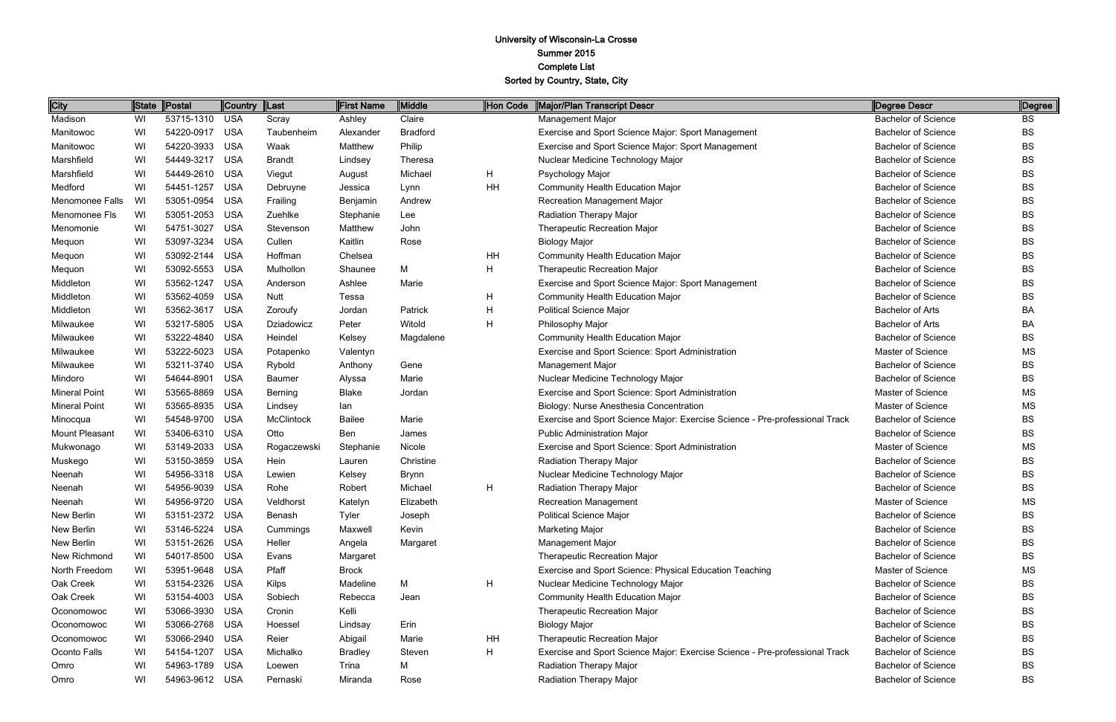| <b>City</b>          | State | Postal     | <b>Country</b> | ∥Last             | First Name     | Middle          | Hon Code | <b>Major/Plan Transcript Descr</b>                                          | Degree Descr               | Degree    |
|----------------------|-------|------------|----------------|-------------------|----------------|-----------------|----------|-----------------------------------------------------------------------------|----------------------------|-----------|
| Madison              | WI    | 53715-1310 | <b>USA</b>     | Scray             | Ashley         | Claire          |          | Management Major                                                            | <b>Bachelor of Science</b> | BS        |
| Manitowoc            | WI    | 54220-0917 | <b>USA</b>     | Taubenheim        | Alexander      | <b>Bradford</b> |          | Exercise and Sport Science Major: Sport Management                          | <b>Bachelor of Science</b> | BS        |
| Manitowoc            | WI    | 54220-3933 | <b>USA</b>     | Waak              | Matthew        | Philip          |          | Exercise and Sport Science Major: Sport Management                          | <b>Bachelor of Science</b> | BS        |
| Marshfield           | WI    | 54449-3217 | <b>USA</b>     | <b>Brandt</b>     | Lindsey        | Theresa         |          | Nuclear Medicine Technology Major                                           | <b>Bachelor of Science</b> | BS        |
| Marshfield           | WI    | 54449-2610 | <b>USA</b>     | Viegut            | August         | Michael         | H        | Psychology Major                                                            | <b>Bachelor of Science</b> | BS        |
| Medford              | WI    | 54451-1257 | <b>USA</b>     | Debruyne          | Jessica        | Lynn            | HH       | <b>Community Health Education Major</b>                                     | <b>Bachelor of Science</b> | BS        |
| Menomonee Falls      | WI    | 53051-0954 | <b>USA</b>     | Frailing          | Benjamin       | Andrew          |          | Recreation Management Major                                                 | <b>Bachelor of Science</b> | BS        |
| Menomonee Fls        | WI    | 53051-2053 | <b>USA</b>     | Zuehlke           | Stephanie      | Lee             |          | Radiation Therapy Major                                                     | <b>Bachelor of Science</b> | BS        |
| Menomonie            | WI    | 54751-3027 | <b>USA</b>     | Stevenson         | Matthew        | John            |          | Therapeutic Recreation Major                                                | <b>Bachelor of Science</b> | BS        |
| Mequon               | WI    | 53097-3234 | <b>USA</b>     | Cullen            | Kaitlin        | Rose            |          | <b>Biology Major</b>                                                        | <b>Bachelor of Science</b> | BS        |
| Mequon               | WI    | 53092-2144 | <b>USA</b>     | Hoffman           | Chelsea        |                 | HH       | Community Health Education Major                                            | <b>Bachelor of Science</b> | BS        |
| Mequon               | WI    | 53092-5553 | <b>USA</b>     | Mulhollon         | Shaunee        | M               | Η        | Therapeutic Recreation Major                                                | <b>Bachelor of Science</b> | BS        |
| Middleton            | WI    | 53562-1247 | <b>USA</b>     | Anderson          | Ashlee         | Marie           |          | Exercise and Sport Science Major: Sport Management                          | <b>Bachelor of Science</b> | BS        |
| Middleton            | WI    | 53562-4059 | <b>USA</b>     | <b>Nutt</b>       | Tessa          |                 | H        | Community Health Education Major                                            | <b>Bachelor of Science</b> | BS        |
| Middleton            | WI    | 53562-3617 | <b>USA</b>     | Zoroufy           | Jordan         | Patrick         | H        | <b>Political Science Major</b>                                              | <b>Bachelor of Arts</b>    | <b>BA</b> |
| Milwaukee            | WI    | 53217-5805 | <b>USA</b>     | Dziadowicz        | Peter          | Witold          | H        | Philosophy Major                                                            | <b>Bachelor of Arts</b>    | ВA        |
| Milwaukee            | WI    | 53222-4840 | <b>USA</b>     | Heindel           | Kelsey         | Magdalene       |          | <b>Community Health Education Major</b>                                     | <b>Bachelor of Science</b> | BS        |
| Milwaukee            | WI    | 53222-5023 | <b>USA</b>     | Potapenko         | Valentyn       |                 |          | Exercise and Sport Science: Sport Administration                            | <b>Master of Science</b>   | <b>MS</b> |
| Milwaukee            | WI    | 53211-3740 | <b>USA</b>     | Rybold            | Anthony        | Gene            |          | Management Major                                                            | <b>Bachelor of Science</b> | BS        |
| Mindoro              | WI    | 54644-8901 | <b>USA</b>     | Baumer            | Alyssa         | Marie           |          | Nuclear Medicine Technology Major                                           | <b>Bachelor of Science</b> | BS        |
| <b>Mineral Point</b> | WI    | 53565-8869 | <b>USA</b>     | Berning           | <b>Blake</b>   | Jordan          |          | Exercise and Sport Science: Sport Administration                            | Master of Science          | <b>MS</b> |
| <b>Mineral Point</b> | WI    | 53565-8935 | <b>USA</b>     | Lindsey           | lan            |                 |          | Biology: Nurse Anesthesia Concentration                                     | <b>Master of Science</b>   | <b>MS</b> |
| Minocqua             | WI    | 54548-9700 | <b>USA</b>     | <b>McClintock</b> | <b>Bailee</b>  | Marie           |          | Exercise and Sport Science Major: Exercise Science - Pre-professional Track | <b>Bachelor of Science</b> | BS        |
| Mount Pleasant       | WI    | 53406-6310 | <b>USA</b>     | Otto              | Ben            | James           |          | <b>Public Administration Major</b>                                          | <b>Bachelor of Science</b> | BS        |
| Mukwonago            | WI    | 53149-2033 | <b>USA</b>     | Rogaczewski       | Stephanie      | Nicole          |          | Exercise and Sport Science: Sport Administration                            | Master of Science          | <b>MS</b> |
| Muskego              | WI    | 53150-3859 | <b>USA</b>     | Hein              | Lauren         | Christine       |          | Radiation Therapy Major                                                     | <b>Bachelor of Science</b> | BS        |
| Neenah               | WI    | 54956-3318 | <b>USA</b>     | Lewien            | Kelsey         | <b>Brynn</b>    |          | Nuclear Medicine Technology Major                                           | <b>Bachelor of Science</b> | BS        |
| Neenah               | WI    | 54956-9039 | <b>USA</b>     | Rohe              | Robert         | Michael         | H        | Radiation Therapy Major                                                     | <b>Bachelor of Science</b> | BS        |
| Neenah               | WI    | 54956-9720 | <b>USA</b>     | Veldhorst         | Katelyn        | Elizabeth       |          | <b>Recreation Management</b>                                                | Master of Science          | <b>MS</b> |
| New Berlin           | WI    | 53151-2372 | USA            | Benash            | <b>Tyler</b>   | Joseph          |          | <b>Political Science Major</b>                                              | <b>Bachelor of Science</b> | BS        |
| New Berlin           | WI    | 53146-5224 | <b>USA</b>     | Cummings          | Maxwell        | Kevin           |          | <b>Marketing Major</b>                                                      | <b>Bachelor of Science</b> | BS        |
| New Berlin           | WI    | 53151-2626 | <b>USA</b>     | Heller            | Angela         | Margaret        |          | Management Major                                                            | <b>Bachelor of Science</b> | BS        |
| New Richmond         | WI    | 54017-8500 | <b>USA</b>     | Evans             | Margaret       |                 |          | Therapeutic Recreation Major                                                | <b>Bachelor of Science</b> | BS        |
| North Freedom        | WI    | 53951-9648 | <b>USA</b>     | Pfaff             | Brock          |                 |          | Exercise and Sport Science: Physical Education Teaching                     | Master of Science          | <b>MS</b> |
| Oak Creek            | WI    | 53154-2326 | <b>USA</b>     | <b>Kilps</b>      | Madeline       | M               | H        | Nuclear Medicine Technology Major                                           | <b>Bachelor of Science</b> | BS        |
| Oak Creek            | WI    | 53154-4003 | <b>USA</b>     | Sobiech           | Rebecca        | Jean            |          | <b>Community Health Education Major</b>                                     | <b>Bachelor of Science</b> | BS        |
| Oconomowoc           | WI    | 53066-3930 | <b>USA</b>     | Cronin            | Kelli          |                 |          | Therapeutic Recreation Major                                                | <b>Bachelor of Science</b> | BS        |
| Oconomowoc           | WI    | 53066-2768 | <b>USA</b>     | Hoessel           | Lindsay        | Erin            |          | <b>Biology Major</b>                                                        | <b>Bachelor of Science</b> | BS        |
| Oconomowoc           | WI    | 53066-2940 | <b>USA</b>     | Reier             | Abigail        | Marie           | HH       | <b>Therapeutic Recreation Major</b>                                         | <b>Bachelor of Science</b> | BS        |
| Oconto Falls         | WI    | 54154-1207 | <b>USA</b>     | Michalko          | <b>Bradley</b> | Steven          | H        | Exercise and Sport Science Major: Exercise Science - Pre-professional Track | <b>Bachelor of Science</b> | BS        |
| Omro                 | WI    | 54963-1789 | <b>USA</b>     | Loewen            | Trina          | M               |          | Radiation Therapy Major                                                     | <b>Bachelor of Science</b> | BS        |
| Omro                 | WI    | 54963-9612 | <b>USA</b>     | Pernaski          | Miranda        | Rose            |          | Radiation Therapy Major                                                     | <b>Bachelor of Science</b> | BS        |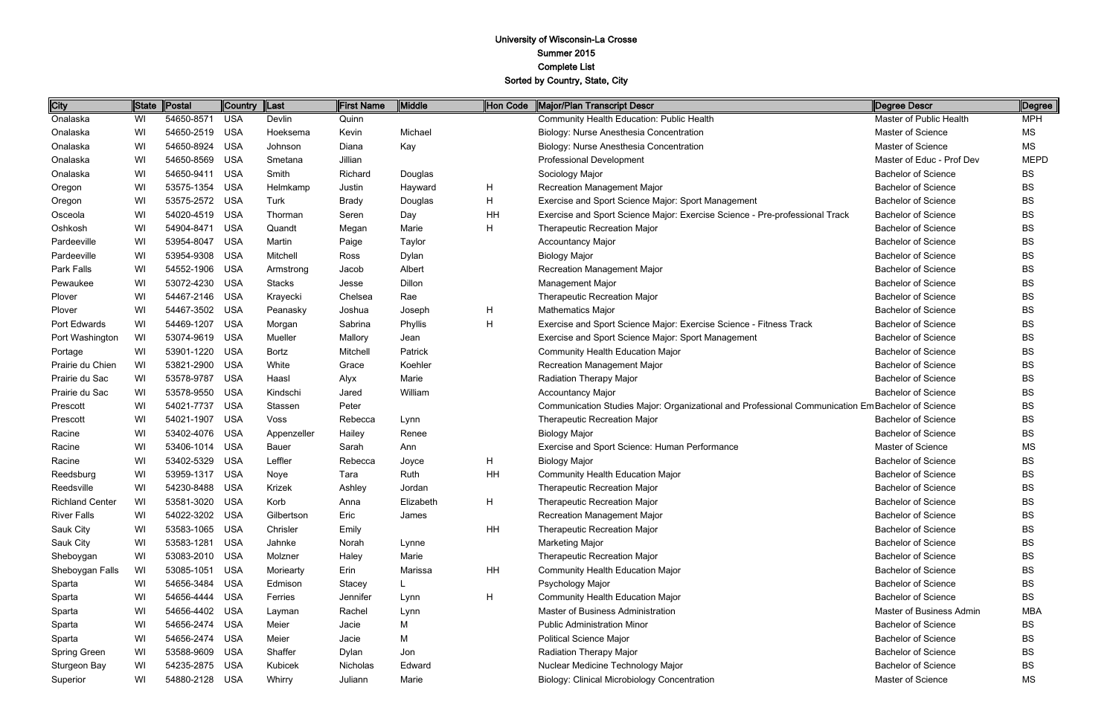| City                   | <b>State</b> | Postal         | <b>Country</b> | Last          | <b>First Name</b> | Middle    | Hon Code | Major/Plan Transcript Descr                                                                       | Degree Descr               | Degree      |
|------------------------|--------------|----------------|----------------|---------------|-------------------|-----------|----------|---------------------------------------------------------------------------------------------------|----------------------------|-------------|
| Onalaska               | WI           | 54650-8571     | <b>USA</b>     | Devlin        | Quinn             |           |          | Community Health Education: Public Health                                                         | Master of Public Health    | <b>MPH</b>  |
| Onalaska               | WI           | 54650-2519     | <b>USA</b>     | Hoeksema      | Kevin             | Michael   |          | Biology: Nurse Anesthesia Concentration                                                           | Master of Science          | MS          |
| Onalaska               | WI           | 54650-8924     | <b>USA</b>     | Johnson       | Diana             | Kay       |          | Biology: Nurse Anesthesia Concentration                                                           | Master of Science          | MS          |
| Onalaska               | WI           | 54650-8569     | <b>USA</b>     | Smetana       | Jillian           |           |          | Professional Development                                                                          | Master of Educ - Prof Dev  | <b>MEPD</b> |
| Onalaska               | WI           | 54650-9411     | <b>USA</b>     | Smith         | Richard           | Douglas   |          | Sociology Major                                                                                   | <b>Bachelor of Science</b> | <b>BS</b>   |
| Oregon                 | WI           | 53575-1354     | <b>USA</b>     | Helmkamp      | Justin            | Hayward   | H        | Recreation Management Major                                                                       | <b>Bachelor of Science</b> | <b>BS</b>   |
| Oregon                 | WI           | 53575-2572     | <b>USA</b>     | Turk          | Brady             | Douglas   | H        | Exercise and Sport Science Major: Sport Management                                                | <b>Bachelor of Science</b> | <b>BS</b>   |
| Osceola                | WI           | 54020-4519     | <b>USA</b>     | Thorman       | Seren             | Day       | HH       | Exercise and Sport Science Major: Exercise Science - Pre-professional Track                       | <b>Bachelor of Science</b> | <b>BS</b>   |
| Oshkosh                | WI           | 54904-8471     | <b>USA</b>     | Quandt        | Megan             | Marie     | H.       | Therapeutic Recreation Major                                                                      | <b>Bachelor of Science</b> | <b>BS</b>   |
| Pardeeville            | WI           | 53954-8047     | <b>USA</b>     | Martin        | Paige             | Taylor    |          | <b>Accountancy Major</b>                                                                          | <b>Bachelor of Science</b> | <b>BS</b>   |
| Pardeeville            | WI           | 53954-9308     | <b>USA</b>     | Mitchell      | Ross              | Dylan     |          | <b>Biology Major</b>                                                                              | <b>Bachelor of Science</b> | <b>BS</b>   |
| Park Falls             | WI           | 54552-1906     | <b>USA</b>     | Armstrong     | Jacob             | Albert    |          | Recreation Management Major                                                                       | <b>Bachelor of Science</b> | <b>BS</b>   |
| Pewaukee               | WI           | 53072-4230     | <b>USA</b>     | <b>Stacks</b> | Jesse             | Dillon    |          | <b>Management Major</b>                                                                           | <b>Bachelor of Science</b> | <b>BS</b>   |
| Plover                 | WI           | 54467-2146     | <b>USA</b>     | Krayecki      | Chelsea           | Rae       |          | <b>Therapeutic Recreation Major</b>                                                               | <b>Bachelor of Science</b> | <b>BS</b>   |
| Plover                 | WI           | 54467-3502     | <b>USA</b>     | Peanasky      | Joshua            | Joseph    | H        | <b>Mathematics Major</b>                                                                          | <b>Bachelor of Science</b> | <b>BS</b>   |
| Port Edwards           | WI           | 54469-1207     | <b>USA</b>     | Morgan        | Sabrina           | Phyllis   | Н        | Exercise and Sport Science Major: Exercise Science - Fitness Track                                | <b>Bachelor of Science</b> | <b>BS</b>   |
| Port Washington        | WI           | 53074-9619     | <b>USA</b>     | Mueller       | Mallory           | Jean      |          | Exercise and Sport Science Major: Sport Management                                                | <b>Bachelor of Science</b> | <b>BS</b>   |
| Portage                | WI           | 53901-1220     | <b>USA</b>     | Bortz         | Mitchell          | Patrick   |          | Community Health Education Major                                                                  | <b>Bachelor of Science</b> | <b>BS</b>   |
| Prairie du Chien       | WI           | 53821-2900     | <b>USA</b>     | White         | Grace             | Koehler   |          | Recreation Management Major                                                                       | <b>Bachelor of Science</b> | <b>BS</b>   |
| Prairie du Sac         | WI           | 53578-9787     | <b>USA</b>     | Haasl         | Alyx              | Marie     |          | Radiation Therapy Major                                                                           | <b>Bachelor of Science</b> | <b>BS</b>   |
| Prairie du Sac         | WI           | 53578-9550     | <b>USA</b>     | Kindschi      | Jared             | William   |          | <b>Accountancy Major</b>                                                                          | <b>Bachelor of Science</b> | <b>BS</b>   |
| Prescott               | WI           | 54021-7737     | <b>USA</b>     | Stassen       | Peter             |           |          | Communication Studies Major: Organizational and Professional Communication Em Bachelor of Science |                            | <b>BS</b>   |
| Prescott               | WI           | 54021-1907     | <b>USA</b>     | Voss          | Rebecca           | Lynn      |          | Therapeutic Recreation Major                                                                      | <b>Bachelor of Science</b> | <b>BS</b>   |
| Racine                 | WI           | 53402-4076     | <b>USA</b>     | Appenzeller   | Hailey            | Renee     |          | <b>Biology Major</b>                                                                              | <b>Bachelor of Science</b> | <b>BS</b>   |
| Racine                 | WI           | 53406-1014     | <b>USA</b>     | Bauer         | Sarah             | Ann       |          | Exercise and Sport Science: Human Performance                                                     | Master of Science          | MS          |
| Racine                 | WI           | 53402-5329     | <b>USA</b>     | Leffler       | Rebecca           | Joyce     | H        | <b>Biology Major</b>                                                                              | <b>Bachelor of Science</b> | <b>BS</b>   |
| Reedsburg              | WI           | 53959-1317     | <b>USA</b>     | Noye          | Tara              | Ruth      | HH       | <b>Community Health Education Major</b>                                                           | <b>Bachelor of Science</b> | <b>BS</b>   |
| Reedsville             | WI           | 54230-8488     | <b>USA</b>     | Krizek        | Ashley            | Jordan    |          | Therapeutic Recreation Major                                                                      | <b>Bachelor of Science</b> | <b>BS</b>   |
| <b>Richland Center</b> | WI           | 53581-3020 USA |                | Korb          | Anna              | Elizabeth | н        | Therapeutic Recreation Major                                                                      | <b>Bachelor of Science</b> | <b>BS</b>   |
| <b>River Falls</b>     | WI           | 54022-3202     | USA            | Gilbertson    | Eric              | James     |          | Recreation Management Major                                                                       | <b>Bachelor of Science</b> | <b>BS</b>   |
| Sauk City              | WI           | 53583-1065     | <b>USA</b>     | Chrisler      | Emily             |           | HH       | Therapeutic Recreation Major                                                                      | <b>Bachelor of Science</b> | <b>BS</b>   |
| Sauk City              | WI           | 53583-1281     | <b>USA</b>     | Jahnke        | Norah             | Lynne     |          | Marketing Major                                                                                   | <b>Bachelor of Science</b> | <b>BS</b>   |
| Sheboygan              | WI           | 53083-2010     | <b>USA</b>     | Molzner       | Haley             | Marie     |          | Therapeutic Recreation Major                                                                      | <b>Bachelor of Science</b> | BS          |
| Sheboygan Falls        | WI           | 53085-1051     | <b>USA</b>     | Moriearty     | Erin              | Marissa   | HH       | <b>Community Health Education Major</b>                                                           | <b>Bachelor of Science</b> | <b>BS</b>   |
| Sparta                 | WI           | 54656-3484     | <b>USA</b>     | Edmison       | Stacey            | L         |          | Psychology Major                                                                                  | <b>Bachelor of Science</b> | <b>BS</b>   |
| Sparta                 | WI           | 54656-4444     | <b>USA</b>     | Ferries       | Jennifer          | Lynn      | H        | <b>Community Health Education Major</b>                                                           | <b>Bachelor of Science</b> | <b>BS</b>   |
| Sparta                 | WI           | 54656-4402     | <b>USA</b>     | Layman        | Rachel            | Lynn      |          | Master of Business Administration                                                                 | Master of Business Admin   | MBA         |
| Sparta                 | WI           | 54656-2474     | <b>USA</b>     | Meier         | Jacie             | М         |          | <b>Public Administration Minor</b>                                                                | <b>Bachelor of Science</b> | <b>BS</b>   |
| Sparta                 | WI           | 54656-2474     | <b>USA</b>     | Meier         | Jacie             | М         |          | <b>Political Science Major</b>                                                                    | <b>Bachelor of Science</b> | <b>BS</b>   |
| <b>Spring Green</b>    | WI           | 53588-9609     | <b>USA</b>     | Shaffer       | Dylan             | Jon       |          | Radiation Therapy Major                                                                           | <b>Bachelor of Science</b> | <b>BS</b>   |
| Sturgeon Bay           | WI           | 54235-2875     | <b>USA</b>     | Kubicek       | Nicholas          | Edward    |          | Nuclear Medicine Technology Major                                                                 | <b>Bachelor of Science</b> | <b>BS</b>   |
| Superior               | WI           | 54880-2128     | USA            | Whirry        | Juliann           | Marie     |          | Biology: Clinical Microbiology Concentration                                                      | Master of Science          | ΜS          |